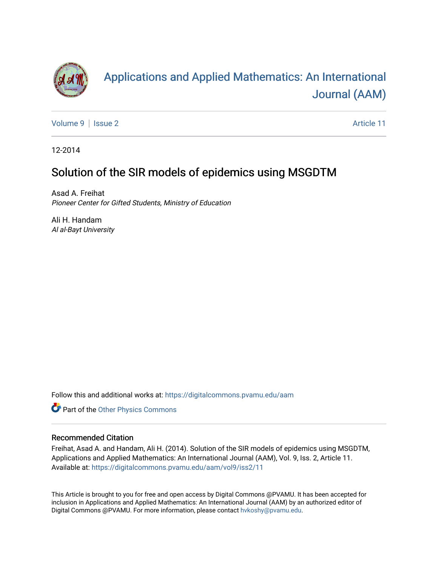

# [Applications and Applied Mathematics: An International](https://digitalcommons.pvamu.edu/aam)  [Journal \(AAM\)](https://digitalcommons.pvamu.edu/aam)

[Volume 9](https://digitalcommons.pvamu.edu/aam/vol9) | [Issue 2](https://digitalcommons.pvamu.edu/aam/vol9/iss2) Article 11

12-2014

## Solution of the SIR models of epidemics using MSGDTM

Asad A. Freihat Pioneer Center for Gifted Students, Ministry of Education

Ali H. Handam Al al-Bayt University

Follow this and additional works at: [https://digitalcommons.pvamu.edu/aam](https://digitalcommons.pvamu.edu/aam?utm_source=digitalcommons.pvamu.edu%2Faam%2Fvol9%2Fiss2%2F11&utm_medium=PDF&utm_campaign=PDFCoverPages) 

Part of the [Other Physics Commons](http://network.bepress.com/hgg/discipline/207?utm_source=digitalcommons.pvamu.edu%2Faam%2Fvol9%2Fiss2%2F11&utm_medium=PDF&utm_campaign=PDFCoverPages)

#### Recommended Citation

Freihat, Asad A. and Handam, Ali H. (2014). Solution of the SIR models of epidemics using MSGDTM, Applications and Applied Mathematics: An International Journal (AAM), Vol. 9, Iss. 2, Article 11. Available at: [https://digitalcommons.pvamu.edu/aam/vol9/iss2/11](https://digitalcommons.pvamu.edu/aam/vol9/iss2/11?utm_source=digitalcommons.pvamu.edu%2Faam%2Fvol9%2Fiss2%2F11&utm_medium=PDF&utm_campaign=PDFCoverPages) 

This Article is brought to you for free and open access by Digital Commons @PVAMU. It has been accepted for inclusion in Applications and Applied Mathematics: An International Journal (AAM) by an authorized editor of Digital Commons @PVAMU. For more information, please contact [hvkoshy@pvamu.edu.](mailto:hvkoshy@pvamu.edu)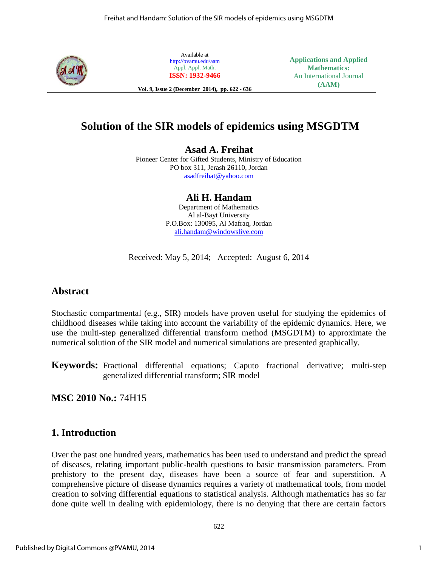

Available at <http://pvamu.edu/aam> Appl. Appl. Math. **ISSN: 1932-9466**

**Applications and Applied Mathematics:** An International Journal **(AAM)**

**Vol. 9, Issue 2 (December 2014), pp. 622 - 636**

## **Solution of the SIR models of epidemics using MSGDTM**

**Asad A. Freihat**

Pioneer Center for Gifted Students, Ministry of Education PO box 311, Jerash 26110, Jordan [asadfreihat@yahoo.com](mailto:asadfreihat@yahoo.com) 

> **Ali H. Handam** Department of Mathematics Al al-Bayt University P.O.Box: 130095, Al Mafraq, Jordan

[ali.handam@windowslive.com](mailto:ali.handam@windowslive.com) 

Received: May 5, 2014; Accepted: August 6, 2014

## **Abstract**

Stochastic compartmental (e.g., SIR) models have proven useful for studying the epidemics of childhood diseases while taking into account the variability of the epidemic dynamics. Here, we use the multi-step generalized differential transform method (MSGDTM) to approximate the numerical solution of the SIR model and numerical simulations are presented graphically.

**Keywords:** Fractional differential equations; Caputo fractional derivative; multi-step generalized differential transform; SIR model

**MSC 2010 No.:** 74H15

## **1. Introduction**

Over the past one hundred years, mathematics has been used to understand and predict the spread of diseases, relating important public-health questions to basic transmission parameters. From prehistory to the present day, diseases have been a source of fear and superstition. A comprehensive picture of disease dynamics requires a variety of mathematical tools, from model creation to solving differential equations to statistical analysis. Although mathematics has so far done quite well in dealing with epidemiology, there is no denying that there are certain factors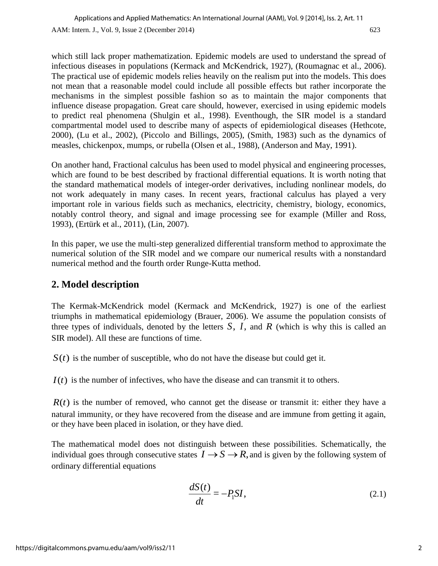which still lack proper mathematization. Epidemic models are used to understand the spread of infectious diseases in populations (Kermack and McKendrick, 1927), (Roumagnac et al., 2006). The practical use of epidemic models relies heavily on the realism put into the models. This does not mean that a reasonable model could include all possible effects but rather incorporate the mechanisms in the simplest possible fashion so as to maintain the major components that influence disease propagation. Great care should, however, exercised in using epidemic models to predict real phenomena (Shulgin et al., 1998). Eventhough, the SIR model is a standard compartmental model used to describe many of aspects of epidemiological diseases (Hethcote, 2000), (Lu et al., 2002), (Piccolo and Billings, 2005), (Smith, 1983) such as the dynamics of measles, chickenpox, mumps, or rubella (Olsen et al., 1988), (Anderson and May, 1991).

On another hand, Fractional calculus has been used to model physical and engineering processes, which are found to be best described by fractional differential equations. It is worth noting that the standard mathematical models of integer-order derivatives, including nonlinear models, do not work adequately in many cases. In recent years, fractional calculus has played a very important role in various fields such as mechanics, electricity, chemistry, biology, economics, notably control theory, and signal and image processing see for example (Miller and Ross, 1993), (Ertürk et al., 2011), (Lin, 2007).

In this paper, we use the multi-step generalized differential transform method to approximate the numerical solution of the SIR model and we compare our numerical results with a nonstandard numerical method and the fourth order Runge-Kutta method.

## **2. Model description**

The Kermak-McKendrick model (Kermack and McKendrick, 1927) is one of the earliest triumphs in mathematical epidemiology (Brauer, 2006). We assume the population consists of three types of individuals, denoted by the letters  $S$ ,  $I$ , and  $R$  (which is why this is called an SIR model). All these are functions of time.

 $S(t)$  is the number of susceptible, who do not have the disease but could get it.

 $I(t)$  is the number of infectives, who have the disease and can transmit it to others.

 $R(t)$  is the number of removed, who cannot get the disease or transmit it: either they have a natural immunity, or they have recovered from the disease and are immune from getting it again, or they have been placed in isolation, or they have died.

The mathematical model does not distinguish between these possibilities. Schematically, the individual goes through consecutive states  $I \rightarrow S \rightarrow R$ , and is given by the following system of ordinary differential equations

$$
\frac{dS(t)}{dt} = -P_1 SI,\tag{2.1}
$$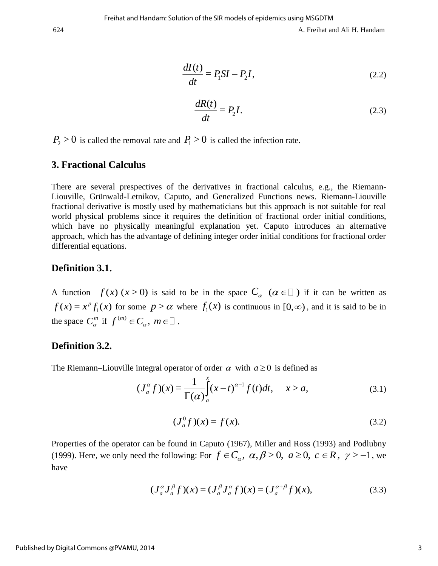$$
\frac{dI(t)}{dt} = P_1 SI - P_2 I,\tag{2.2}
$$

$$
\frac{dR(t)}{dt} = P_2 I.
$$
 (2.3)

 $P_2 > 0$  is called the removal rate and  $P_1 > 0$  is called the infection rate.

## **3. Fractional Calculus**

There are several prespectives of the derivatives in fractional calculus, e.g., the Riemann-Liouville, Grünwald-Letnikov, Caputo, and Generalized Functions news. Riemann-Liouville fractional derivative is mostly used by mathematicians but this approach is not suitable for real world physical problems since it requires the definition of fractional order initial conditions, which have no physically meaningful explanation yet. Caputo introduces an alternative approach, which has the advantage of defining integer order initial conditions for fractional order differential equations.

## **Definition 3.1.**

A function  $f(x)$  ( $x > 0$ ) is said to be in the space  $C_\alpha$  ( $\alpha \in \square$ ) if it can be written as  $f(x) = x^p f_1(x)$  for some  $p > \alpha$  where  $f_1(x)$  is continuous in  $[0, \infty)$ , and it is said to be in the space  $C_{\alpha}^{m}$  if  $f^{(m)} \in C_{\alpha}$ ,  $m \in \square$ .

## **Definition 3.2.**

The Riemann–Liouville integral operator of order 
$$
\alpha
$$
 with  $a \ge 0$  is defined as  
\n
$$
(J_a^{\alpha} f)(x) = \frac{1}{\Gamma(\alpha)} \int_a^x (x-t)^{\alpha-1} f(t) dt, \quad x > a,
$$
\n(3.1)

$$
(J_a^0 f)(x) = f(x).
$$
 (3.2)

Properties of the operator can be found in Caputo (1967), Miller and Ross (1993) and Podlubny (1999). Here, we only need the following: For  $f \in C_\alpha$ ,  $\alpha, \beta > 0$ ,  $a \ge 0$ ,  $c \in R$ ,  $\gamma > -1$ , we have

$$
(J_a^{\alpha} J_a^{\beta} f)(x) = (J_a^{\beta} J_a^{\alpha} f)(x) = (J_a^{\alpha+\beta} f)(x),
$$
\n(3.3)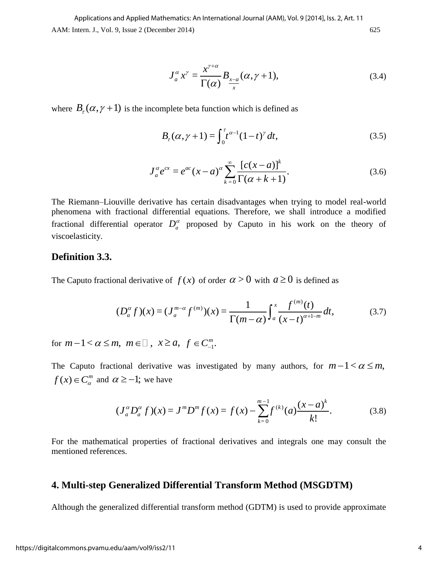AAM: Intern. J., Vol. 9, Issue 2 (December 2014) 625 Applications and Applied Mathematics: An International Journal (AAM), Vol. 9 [2014], Iss. 2, Art. 11

$$
J_a^{\alpha} x^{\gamma} = \frac{x^{\gamma + \alpha}}{\Gamma(\alpha)} B_{\frac{x - a}{x}} (\alpha, \gamma + 1), \tag{3.4}
$$

where  $B_r(\alpha, \gamma + 1)$  is the incomplete beta function which is defined as

$$
B_{\tau}(\alpha, \gamma + 1) = \int_0^{\tau} t^{\alpha - 1} (1 - t)^{\gamma} dt,
$$
\n(3.5)

$$
J_a^{\alpha} e^{cx} = e^{ac} (x - a)^{\alpha} \sum_{k=0}^{\infty} \frac{[c(x - a)]^k}{\Gamma(\alpha + k + 1)}.
$$
 (3.6)

=  $\frac{x^{\gamma+a}}{\Gamma(\alpha)} B_{\frac{x-a}{x}}(\alpha, \gamma + 1),$ <br>ta function which is defin<br>+1) =  $\int_0^{\tau} t^{\alpha-1} (1-t)^{\gamma} dt$ ,<br> $(x-a)^{\alpha} \sum_{k=0}^{\infty} \frac{[c(x-a)]}{\Gamma(\alpha + k + 1)}$ <br>equations. Therefore, v<br>equations. Therefore, v<br>oposed by Caputo in<br>) of order  $\alpha > 0$ The Riemann–Liouville derivative has certain disadvantages when trying to model real-world phenomena with fractional differential equations. Therefore, we shall introduce a modified fractional differential operator  $D_a^{\alpha}$  proposed by Caputo in his work on the theory of viscoelasticity.

## **Definition 3.3.**

The Caputo fractional derivative of 
$$
f(x)
$$
 of order  $\alpha > 0$  with  $a \ge 0$  is defined as  
\n
$$
(D_a^{\alpha} f)(x) = (J_a^{m-\alpha} f^{(m)})(x) = \frac{1}{\Gamma(m-\alpha)} \int_a^x \frac{f^{(m)}(t)}{(x-t)^{\alpha+1-m}} dt,
$$
\n(3.7)

for  $m-1 < \alpha \le m$ ,  $m \in \square$ ,  $x \ge a$ ,  $f \in C_{-1}^{m}$ .

The Caputo fractional derivative was investigated by many authors, for  $m-1 < \alpha \le m$ ,  $f(x) \in C_\alpha^m$  and  $\alpha \ge -1$ ; we have

$$
\alpha \ge -1
$$
; we have  
\n
$$
(J_a^{\alpha} D_a^{\alpha} f)(x) = J^m D^m f(x) = f(x) - \sum_{k=0}^{m-1} f^{(k)}(a) \frac{(x-a)^k}{k!}.
$$
\n(3.8)

For the mathematical properties of fractional derivatives and integrals one may consult the mentioned references.

## **4. Multi-step Generalized Differential Transform Method (MSGDTM)**

Although the generalized differential transform method (GDTM) is used to provide approximate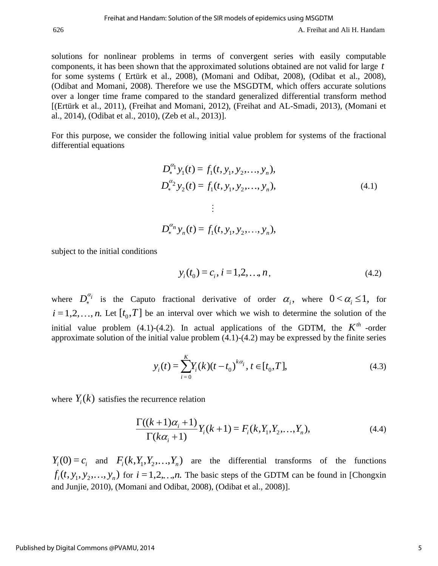solutions for nonlinear problems in terms of convergent series with easily computable components, it has been shown that the approximated solutions obtained are not valid for large *t* for some systems ( Ertürk et al., 2008), (Momani and Odibat, 2008), (Odibat et al., 2008), (Odibat and Momani, 2008). Therefore we use the MSGDTM, which offers accurate solutions over a longer time frame compared to the standard generalized differential transform method [(Ertürk et al., 2011), (Freihat and Momani, 2012), (Freihat and AL-Smadi, 2013), (Momani et al., 2014), (Odibat et al., 2010), (Zeb et al., 2013)].

For this purpose, we consider the following initial value problem for systems of the fractional differential equations

$$
D_*^{\alpha_1} y_1(t) = f_1(t, y_1, y_2, \dots, y_n),
$$
  
\n
$$
D_*^{\alpha_2} y_2(t) = f_1(t, y_1, y_2, \dots, y_n),
$$
  
\n
$$
\vdots
$$
  
\n
$$
D_*^{\alpha_n} y_n(t) = f_1(t, y_1, y_2, \dots, y_n),
$$
  
\n(4.1)

subject to the initial conditions

$$
y_i(t_0) = c_i, i = 1, 2, ..., n,
$$
\n(4.2)

where  $D_*^{\alpha_i}$ <sup> $\alpha_i$ </sup> is the Caputo fractional derivative of order  $\alpha_i$ , where  $0 < \alpha_i \le 1$ , for  $i = 1, 2, ..., n$ . Let  $[t_0, T]$  be an interval over which we wish to determine the solution of the initial value problem (4.1)-(4.2). In actual applications of the GDTM, the  $K^{th}$  -order approximate solution of the initial value problem (4.1)-(4.2) may be expressed by the finite series

$$
y_i(t) = \sum_{i=0}^{K} Y_i(k)(t - t_0)^{k\alpha_i}, t \in [t_0, T],
$$
\n(4.3)

where  $Y_i(k)$  satisfies the recurrence relation<br> $\frac{\Gamma((k+1)\alpha_i+1)}{\Gamma((k+1)\alpha_i+1)}Y(k)$ 

e recurrence relation  
\n
$$
\frac{\Gamma((k+1)\alpha_i+1)}{\Gamma(k\alpha_i+1)}Y_i(k+1) = F_i(k, Y_1, Y_2, \dots, Y_n),
$$
\n(4.4)

 $Y_i(0) = c_i$  and  $F_i(k, Y_1, Y_2, \ldots, Y_n)$  are the differential transforms of the functions  $f_i(t, y_1, y_2,..., y_n)$  for  $i = 1,2,...,n$ . The basic steps of the GDTM can be found in [Chongxin] and Junjie, 2010), (Momani and Odibat, 2008), (Odibat et al., 2008)].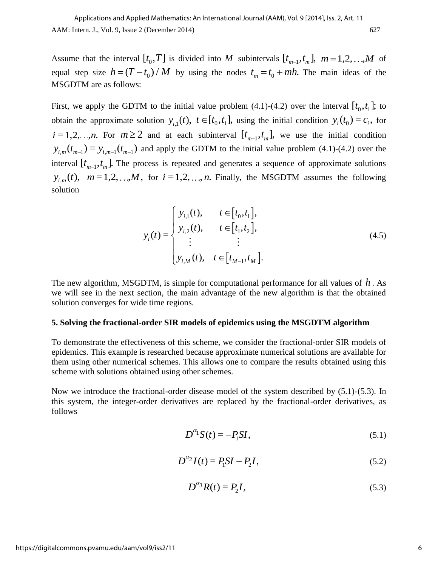Assume that the interval  $[t_0, T]$  is divided into M subintervals  $[t_{m-1}, t_m]$ ,  $m = 1, 2, ..., M$  of equal step size  $h = (T - t_0) / M$  by using the nodes  $t_m = t_0 + mh$ . The main ideas of the MSGDTM are as follows:

First, we apply the GDTM to the initial value problem  $(4.1)-(4.2)$  over the interval  $[t_0, t_1]$ ; to obtain the approximate solution  $y_{i,1}(t)$ ,  $t \in [t_0, t_1]$ , using the initial condition  $y_i(t_0) = c_i$ , for  $i = 1, 2, \dots, n$ . For  $m \ge 2$  and at each subinterval  $[t_{m-1}, t_m]$ , we use the initial condition  $y_{i,m}(t_{m-1}) = y_{i,m-1}(t_{m-1})$  and apply the GDTM to the initial value problem (4.1)-(4.2) over the interval  $[t_{m-1}, t_m]$ . The process is repeated and generates a sequence of approximate solutions  $y_{i,m}(t)$ ,  $m=1,2,...,M$ , for  $i=1,2,...,n$ . Finally, the MSGDTM assumes the following solution

$$
y_i(t) = \begin{cases} y_{i,1}(t), & t \in [t_0, t_1], \\ y_{i,2}(t), & t \in [t_1, t_2], \\ \vdots & \vdots \\ y_{i,M}(t), & t \in [t_{M-1}, t_M]. \end{cases}
$$
(4.5)

The new algorithm, MSGDTM, is simple for computational performance for all values of *h* . As we will see in the next section, the main advantage of the new algorithm is that the obtained solution converges for wide time regions.

#### **5. Solving the fractional-order SIR models of epidemics using the MSGDTM algorithm**

To demonstrate the effectiveness of this scheme, we consider the fractional-order SIR models of epidemics. This example is researched because approximate numerical solutions are available for them using other numerical schemes. This allows one to compare the results obtained using this scheme with solutions obtained using other schemes.

Now we introduce the fractional-order disease model of the system described by (5.1)-(5.3). In this system, the integer-order derivatives are replaced by the fractional-order derivatives, as follows

$$
D^{\alpha_1} S(t) = -P_1 S I, \qquad (5.1)
$$

$$
D^{\alpha_2}I(t) = P_1SI - P_2I,
$$
\n(5.2)

$$
D^{\alpha_3}R(t) = P_2I,\tag{5.3}
$$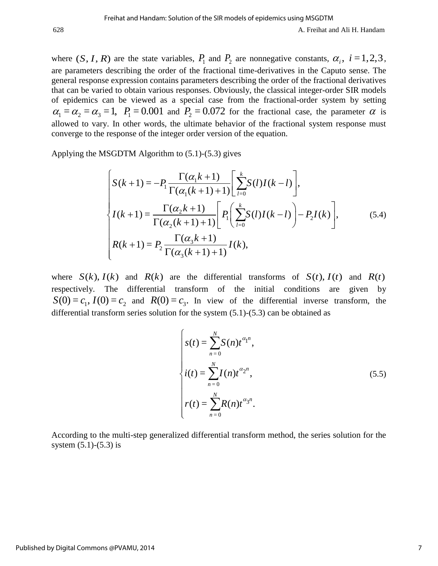where  $(S, I, R)$  are the state variables,  $P_1$  and  $P_2$  are nonnegative constants,  $\alpha_i$ ,  $i = 1, 2, 3$ , are parameters describing the order of the fractional time-derivatives in the Caputo sense. The general response expression contains parameters describing the order of the fractional derivatives that can be varied to obtain various responses. Obviously, the classical integer-order SIR models of epidemics can be viewed as a special case from the fractional-order system by setting  $\alpha_1 = \alpha_2 = \alpha_3 = 1$ ,  $P_1 = 0.001$  and  $P_2 = 0.072$  for the fractional case, the parameter  $\alpha$  is allowed to vary. In other words, the ultimate behavior of the fractional system response must converge to the response of the integer order version of the equation.

Applying the MSGDTM Algorithm to (5.1)-(5.3) gives

SGDTM Algorithm to (5.1)-(5.3) gives  
\n
$$
\begin{cases}\nS(k+1) = -P_1 \frac{\Gamma(\alpha_1 k + 1)}{\Gamma(\alpha_1 (k+1) + 1)} \left[ \sum_{l=0}^k S(l) I(k-l) \right], \\
I(k+1) = \frac{\Gamma(\alpha_2 k + 1)}{\Gamma(\alpha_2 (k+1) + 1)} \left[ P_1 \left( \sum_{l=0}^k S(l) I(k-l) \right) - P_2 I(k) \right], \\
R(k+1) = P_2 \frac{\Gamma(\alpha_3 k + 1)}{\Gamma(\alpha_3 (k+1) + 1)} I(k),\n\end{cases}
$$
\n(5.4)

where  $S(k)$ ,  $I(k)$  and  $R(k)$  are the differential transforms of  $S(t)$ ,  $I(t)$  and  $R(t)$ respectively. The differential transform of the initial conditions are given by  $S(0) = c_1$ ,  $I(0) = c_2$  and  $R(0) = c_3$ . In view of the differential inverse transform, the differential transform series solution for the system (5.1)-(5.3) can be obtained as

$$
s(t) = \sum_{n=0}^{N} S(n)t^{\alpha_1 n},
$$
  
\n
$$
i(t) = \sum_{n=0}^{N} I(n)t^{\alpha_2 n},
$$
  
\n
$$
r(t) = \sum_{n=0}^{N} R(n)t^{\alpha_3 n}.
$$
\n(5.5)

According to the multi-step generalized differential transform method, the series solution for the system (5.1)-(5.3) is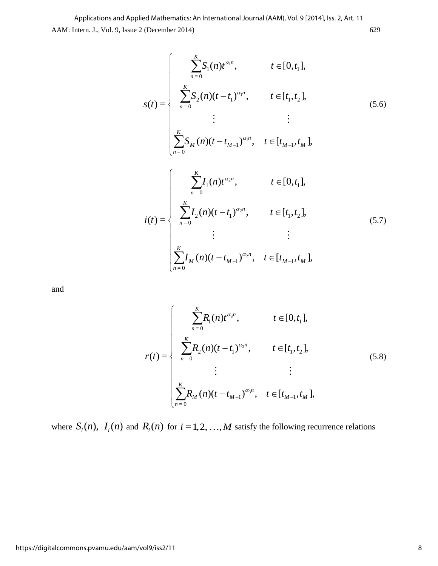$$
s(t) = \begin{cases} \sum_{n=0}^{K} S_1(n) t^{\alpha_1 n}, & t \in [0, t_1], \\ \sum_{n=0}^{K} S_2(n) (t - t_1)^{\alpha_1 n}, & t \in [t_1, t_2], \\ \vdots & \vdots \\ \sum_{n=0}^{K} S_M(n) (t - t_{M-1})^{\alpha_1 n}, & t \in [t_{M-1}, t_M], \end{cases}
$$
(5.6)

$$
i(t) = \begin{cases} \sum_{n=0}^{K} I_1(n) t^{\alpha_2 n}, & t \in [0, t_1], \\ \sum_{n=0}^{K} I_2(n) (t - t_1)^{\alpha_2 n}, & t \in [t_1, t_2], \\ \vdots & \vdots \\ \sum_{n=0}^{K} I_M(n) (t - t_{M-1})^{\alpha_2 n}, & t \in [t_{M-1}, t_M], \end{cases}
$$
(5.7)

and

$$
r(t) = \begin{cases} \sum_{n=0}^{K} R_1(n) t^{\alpha_3 n}, & t \in [0, t_1], \\ \sum_{n=0}^{K} R_2(n) (t - t_1)^{\alpha_3 n}, & t \in [t_1, t_2], \\ \vdots & \vdots \\ \sum_{n=0}^{K} R_M(n) (t - t_{M-1})^{\alpha_3 n}, & t \in [t_{M-1}, t_M], \end{cases}
$$
(5.8)

where  $S_i(n)$ ,  $I_i(n)$  and  $R_i(n)$  for  $i = 1, 2, ..., M$  satisfy the following recurrence relations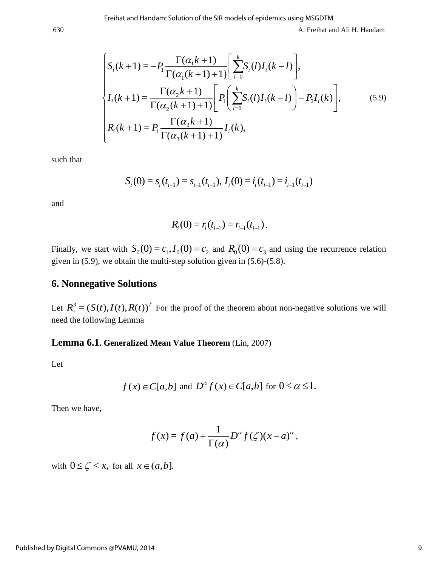A. Freihat and Ali H. Handam  
\nA. Freihat and Ali H. Handam  
\n
$$
\begin{cases}\nS_i(k+1) = -P_1 \frac{\Gamma(\alpha_1 k + 1)}{\Gamma(\alpha_1 (k+1) + 1)} \left[ \sum_{l=0}^k S_i(l) I_i(k-l) \right], \\
I_i(k+1) = \frac{\Gamma(\alpha_2 k + 1)}{\Gamma(\alpha_2 (k+1) + 1)} \left[ P_1 \left( \sum_{l=0}^k S_i(l) I_i(k-l) \right) - P_2 I_i(k) \right], \\
R_i(k+1) = P_1 \frac{\Gamma(\alpha_3 k + 1)}{\Gamma(\alpha_3 (k+1) + 1)} I_i(k),\n\end{cases}
$$
\n(5.9)

such that

$$
S_i(0) = s_i(t_{i-1}) = s_{i-1}(t_{i-1}), I_i(0) = i_i(t_{i-1}) = i_{i-1}(t_{i-1})
$$

and

$$
R_i(0) = r_i(t_{i-1}) = r_{i-1}(t_{i-1}).
$$

Finally, we start with  $S_0(0) = c_1, I_0(0) = c_2$  and  $R_0(0) = c_3$  and using the recurrence relation given in (5.9), we obtain the multi-step solution given in (5.6)-(5.8).

## **6. Nonnegative Solutions**

Let  $R_+^3 = (S(t), I(t), R(t))^T$  For the proof of the theorem about non-negative solutions we will need the following Lemma

## **Lemma 6.1. Generalized Mean Value Theorem** (Lin, 2007)

Let

$$
f(x) \in C[a,b]
$$
 and  $D^{\alpha} f(x) \in C[a,b]$  for  $0 < \alpha \le 1$ .

Then we have,

$$
f(x) = f(a) + \frac{1}{\Gamma(\alpha)} D^{\alpha} f(\zeta) (x - a)^{\alpha},
$$

with  $0 \leq \zeta < x$ , for all  $x \in (a, b]$ .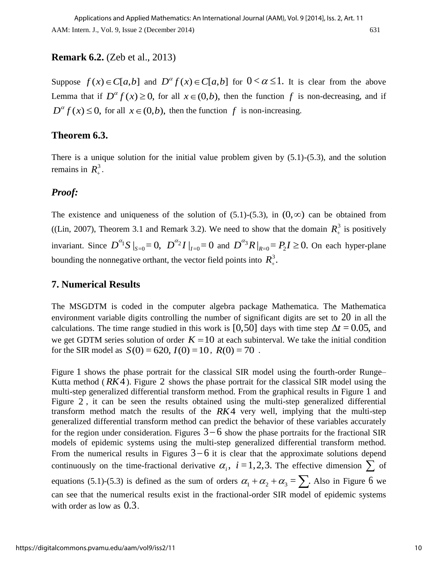## **Remark 6.2.** (Zeb et al., 2013)

Suppose  $f(x) \in C[a,b]$  and  $D^{\alpha} f(x) \in C[a,b]$  for  $0 < \alpha \le 1$ . It is clear from the above Lemma that if  $D^{\alpha} f(x) \ge 0$ , for all  $x \in (0,b)$ , then the function f is non-decreasing, and if  $D^{\alpha} f(x) \leq 0$ , for all  $x \in (0,b)$ , then the function f is non-increasing.

## **Theorem 6.3.**

There is a unique solution for the initial value problem given by  $(5.1)$ - $(5.3)$ , and the solution remains in  $R_+^3$ .

## *Proof:*

The existence and uniqueness of the solution of  $(5.1)$ - $(5.3)$ , in  $(0, \infty)$  can be obtained from ((Lin, 2007), Theorem 3.1 and Remark 3.2). We need to show that the domain  $R_+^3$  is positively invariant. Since  $D^{\alpha_1}S|_{S=0} = 0$ ,  $D^{\alpha_2}I|_{I=0} = 0$  and  $D^{\alpha_3}R|_{R=0} = P_2I \ge 0$ . On each hyper-plane bounding the nonnegative orthant, the vector field points into  $R_+^3$ .

## **7. Numerical Results**

The MSGDTM is coded in the computer algebra package Mathematica. The Mathematica environment variable digits controlling the number of significant digits are set to  $20$  in all the calculations. The time range studied in this work is [0,50] days with time step  $\Delta t = 0.05$ , and we get GDTM series solution of order  $K = 10$  at each subinterval. We take the initial condition we get GDTM series solution of order  $\mathbf{A} = 10$  at each subtr<br>for the SIR model as  $S(0) = 620$ ,  $I(0) = 10$ ,  $R(0) = 70$ .

Figure 1 shows the phase portrait for the classical SIR model using the fourth-order Runge-Kutta method (*RK*4). Figure 2 shows the phase portrait for the classical SIR model using the multi-step generalized differential transform method. From the graphical results in Figure 1 and Figure 2 , it can be seen the results obtained using the multi-step generalized differential transform method match the results of the  $RK4$  very well, implying that the multi-step generalized differential transform method can predict the behavior of these variables accurately for the region under consideration. Figures  $3-6$  show the phase portraits for the fractional SIR models of epidemic systems using the multi-step generalized differential transform method. From the numerical results in Figures  $3-6$  it is clear that the approximate solutions depend continuously on the time-fractional derivative  $\alpha_i$ ,  $i=1,2,3$ . The effective dimension  $\sum$  of equations (5.1)-(5.3) is defined as the sum of orders  $\alpha_1 + \alpha_2 + \alpha_3 = \sum$ . Also in Figure 6 we can see that the numerical results exist in the fractional-order SIR model of epidemic systems with order as low as 0.3.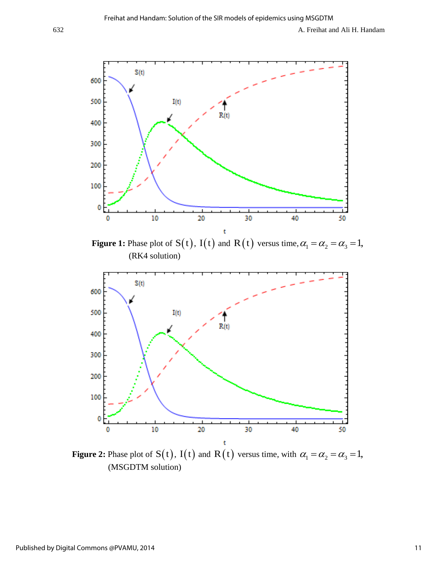

**Figure 1:** Phase plot of  $S(t)$ ,  $I(t)$  and  $R(t)$  versus time,  $\alpha_1 = \alpha_2 = \alpha_3 = 1$ , (RK4 solution)



**Figure 2:** Phase plot of  $S(t)$ ,  $I(t)$  and  $R(t)$  versus time, with  $\alpha_1 = \alpha_2 = \alpha_3 = 1$ , (MSGDTM solution)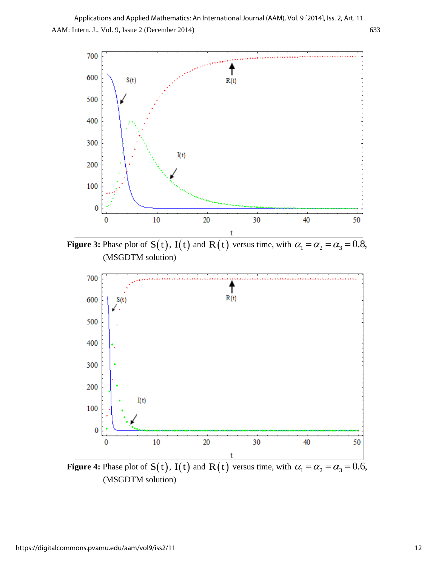

**Figure 3:** Phase plot of  $S(t)$ ,  $I(t)$  and  $R(t)$  versus time, with  $\alpha_1 = \alpha_2 = \alpha_3 = 0.8$ , (MSGDTM solution)



**Figure 4:** Phase plot of  $S(t)$ ,  $I(t)$  and  $R(t)$  versus time, with  $\alpha_1 = \alpha_2 = \alpha_3 = 0.6$ , (MSGDTM solution)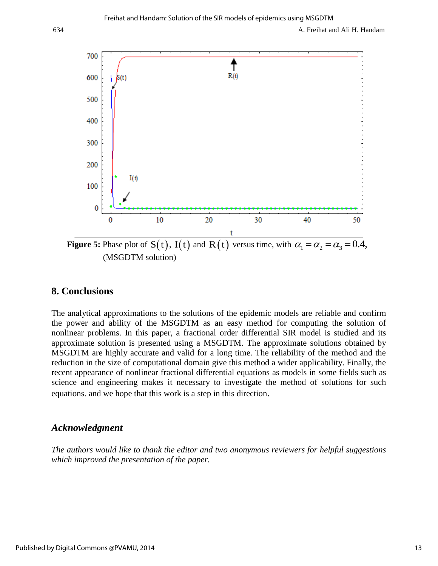

**Figure 5:** Phase plot of  $S(t)$ ,  $I(t)$  and  $R(t)$  versus time, with  $\alpha_1 = \alpha_2 = \alpha_3 = 0.4$ , (MSGDTM solution)

## **8. Conclusions**

The analytical approximations to the solutions of the epidemic models are reliable and confirm the power and ability of the MSGDTM as an easy method for computing the solution of nonlinear problems. In this paper, a fractional order differential SIR model is studied and its approximate solution is presented using a MSGDTM. The approximate solutions obtained by MSGDTM are highly accurate and valid for a long time. The reliability of the method and the reduction in the size of computational domain give this method a wider applicability. Finally, the recent appearance of nonlinear fractional differential equations as models in some fields such as science and engineering makes it necessary to investigate the method of solutions for such equations. and we hope that this work is a step in this direction.

## *Acknowledgment*

*The authors would like to thank the editor and two anonymous reviewers for helpful suggestions which improved the presentation of the paper.*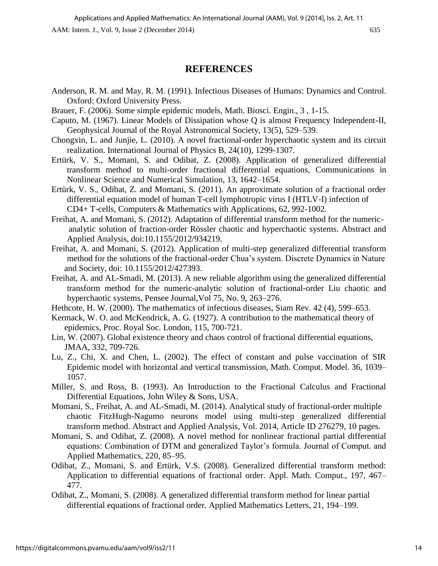### **REFERENCES**

- Anderson, R. M. and May, R. M. (1991). Infectious Diseases of Humans: Dynamics and Control. Oxford: Oxford University Press.
- Brauer, F. (2006). Some simple epidemic models, Math. Biosci. Engin., 3 , 1-15.
- Caputo, M. (1967). Linear Models of Dissipation whose Q is almost Frequency Independent-II, Geophysical Journal of the Royal Astronomical Society, 13(5), 529–539.
- Chongxin, L. and Junjie, L. (2010). A novel fractional-order hyperchaotic system and its circuit realization. International Journal of Physics B, 24(10), 1299-1307.
- Ertürk, V. S., Momani, S. and Odibat, Z. (2008). Application of generalized differential transform method to multi-order fractional differential equations, Communications in Nonlinear Science and Numerical Simulation, 13, 1642–1654.
- Ertürk, V. S., Odibat, Z. and Momani, S. (2011). An approximate solution of a fractional order differential equation model of human T-cell lymphotropic virus I (HTLV-I) infection of CD4+ T-cells, Computers & Mathematics with Applications, 62, 992-1002.
- Freihat, A. and Momani, S. (2012). Adaptation of differential transform method for the numeric analytic solution of fraction-order Rössler chaotic and hyperchaotic systems. Abstract and Applied Analysis, doi:10.1155/2012/934219.
- Freihat, A. and Momani, S. (2012). Application of multi-step generalized differential transform method for the solutions of the fractional-order Chua's system. Discrete Dynamics in Nature and Society, doi: 10.1155/2012/427393.
- Freihat, A. and AL-Smadi, M. (2013). A new reliable algorithm using the generalized differential transform method for the numeric-analytic solution of fractional-order Liu chaotic and hyperchaotic systems, Pensee Journal,Vol 75, No. 9, 263–276.
- Hethcote, H. W. (2000). The mathematics of infectious diseases, Siam Rev. 42 (4), 599–653.
- Kermack, W. O. and McKendrick, A. G. (1927). A contribution to the mathematical theory of epidemics, Proc. Royal Soc. London, 115, 700-721.
- Lin, W. (2007). Global existence theory and chaos control of fractional differential equations, JMAA, 332, 709-726.
- Lu, Z., Chi, X. and Chen, L. (2002). The effect of constant and pulse vaccination of SIR Epidemic model with horizontal and vertical transmission, Math. Comput. Model. 36, 1039– 1057.
- Miller, S. and Ross, B. (1993). An Introduction to the Fractional Calculus and Fractional Differential Equations, John Wiley & Sons, USA.
- Momani, S., Freihat, A. and AL-Smadi, M. (2014). Analytical study of fractional-order multiple chaotic FitzHugh-Nagumo neurons model using multi-step generalized differential transform method. Abstract and Applied Analysis, Vol. 2014, Article ID 276279, 10 pages.
- Momani, S. and Odibat, Z. (2008). A novel method for nonlinear fractional partial differential equations: Combination of DTM and generalized Taylor's formula. Journal of Comput. and Applied Mathematics, 220, 85–95.
- Odibat, Z., Momani, S. and Ertürk, V.S. (2008). Generalized differential transform method: Application to differential equations of fractional order. Appl. Math. Comput., 197, 467– 477.
- Odibat, Z., Momani, S. (2008). A generalized differential transform method for linear partial differential equations of fractional order. Applied Mathematics Letters, 21, 194–199.